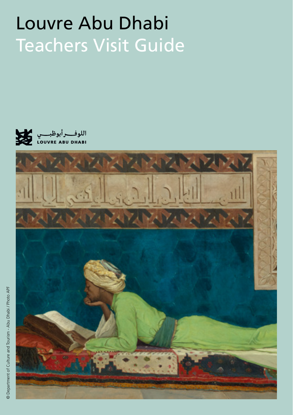# Louvre Abu Dhabi Teachers Visit Guide



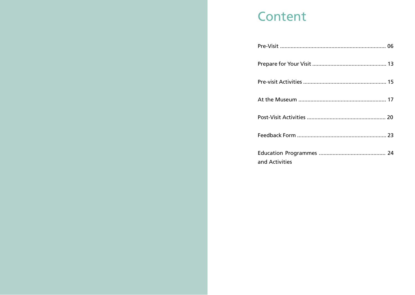# **Content**

| and Activities |  |
|----------------|--|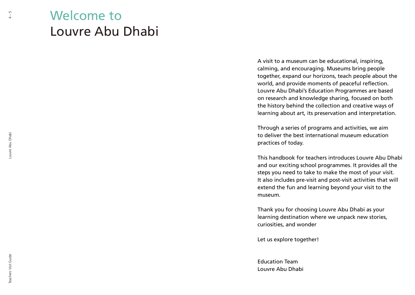# Welcome to Louvre Abu Dhabi

A visit to a museum can be educational, inspiring, calming, and encouraging. Museums bring people together, expand our horizons, teach people about the world, and provide moments of peaceful reflection. Louvre Abu Dhabi's Education Programmes are based on research and knowledge sharing, focused on both the history behind the collection and creative ways of learning about art, its preservation and interpretation.

Through a series of programs and activities, we aim to deliver the best international museum education practices of today.

This handbook for teachers introduces Louvre Abu Dhabi and our exciting school programmes. It provides all the steps you need to take to make the most of your visit. It also includes pre-visit and post-visit activities that will extend the fun and learning beyond your visit to the museum.

Thank you for choosing Louvre Abu Dhabi as your learning destination where we unpack new stories, curiosities, and wonder

Let us explore together!

Education Team Louvre Abu Dhabi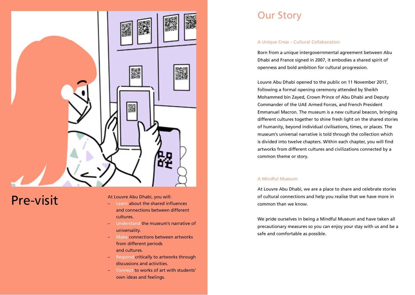

# **Pre-visit** At Louvre Abu Dhabi, you will:

- Learn about the shared influences and connections between different cultures.
- Understand the museum's narrative of universality.
- Make connections between artworks from different periods and cultures.
- Respond critically to artworks through discussions and activities.
- Connect to works of art with students' own ideas and feelings.

# Our Story

#### A Unique Cross – Cultural Collaboration

Born from a unique intergovernmental agreement between Abu Dhabi and France signed in 2007, it embodies a shared spirit of openness and bold ambition for cultural progression.

Louvre Abu Dhabi opened to the public on 11 November 2017, following a formal opening ceremony attended by Sheikh Mohammed bin Zayed, Crown Prince of Abu Dhabi and Deputy Commander of the UAE Armed Forces, and French President Emmanuel Macron. The museum is a new cultural beacon, bringing different cultures together to shine fresh light on the shared stories of humanity, beyond individual civilisations, times, or places. The museum's universal narrative is told through the collection which is divided into twelve chapters. Within each chapter, you will find artworks from different cultures and civilizations connected by a common theme or story.

#### A Mindful Museum

At Louvre Abu Dhabi, we are a place to share and celebrate stories of cultural connections and help you realise that we have more in common than we know.

We pride ourselves in being a Mindful Museum and have taken all precautionary measures so you can enjoy your stay with us and be a safe and comfortable as possible.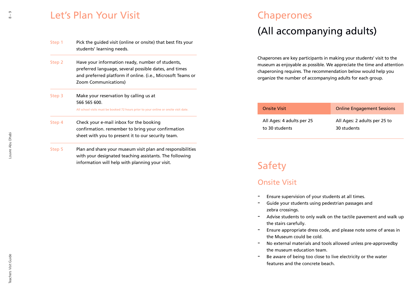## Let's Plan Your Visit

| Step 1 | Pick the guided visit (online or onsite) that best fits your<br>students' learning needs.                                                                                                        |
|--------|--------------------------------------------------------------------------------------------------------------------------------------------------------------------------------------------------|
| Step 2 | Have your information ready, number of students,<br>preferred language, several possible dates, and times<br>and preferred platform if online. (i.e., Microsoft Teams or<br>Zoom Communications) |
| Step 3 | Make your reservation by calling us at<br>566 565 600.                                                                                                                                           |
|        | All school visits must be booked 72 hours prior to your online or onsite visit date.                                                                                                             |
| Step 4 | Check your e-mail inbox for the booking<br>confirmation. remember to bring your confirmation<br>sheet with you to present it to our security team.                                               |
|        |                                                                                                                                                                                                  |

Plan and share your museum visit plan and responsibilities with your designated teaching assistants. The following information will help with planning your visit. Step 5

# Chaperones

# (All accompanying adults)

Chaperones are key participants in making your students' visit to the museum as enjoyable as possible. We appreciate the time and attention chaperoning requires. The recommendation below would help you organize the number of accompanying adults for each group.

| Onsite Visit              | <b>Online Engagement Sessions</b> |
|---------------------------|-----------------------------------|
| All Ages: 4 adults per 25 | All Ages: 2 adults per 25 to      |
| to 30 students            | 30 students                       |

# Safety

### Onsite Visit

- Ensure supervision of your students at all times.
- Guide your students using pedestrian passages and zebra crossings.
- Advise students to only walk on the tactile pavement and walk up the stairs carefully.
- Ensure appropriate dress code, and please note some of areas in the Museum could be cold.
- No external materials and tools allowed unless pre-approvedby the museum education team.
- Be aware of being too close to live electricity or the water features and the concrete beach.

Louvre Abu Dhabi

Louvre Abu Dhabi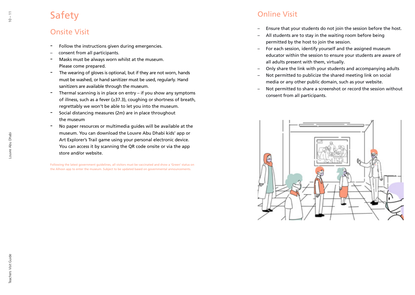# Safety

- Onsite Visit<br>- Follow the instructions given during emergencies.
- consent from all participants.
- Masks must be always worn whilst at the museum. Please come prepared.
- The wearing of gloves is optional, but if they are not worn, hands must be washed, or hand sanitizer must be used, regularly. Hand sanitizers are available through the museum.
- Thermal scanning is in place on entry if you show any symptoms of illness, such as a fever (≥37.3), coughing or shortness of breath, regrettably we won't be able to let you into the museum.
- Social distancing measures ( 2m) are in place throughout the museum
- No paper resources or multimedia guides will be available at the museum. You can download the Louvre Abu Dhabi kids' app or Art Explorer's Trail game using your personal electronic device. You can access it by scanning the QR code onsite or via the app store and/or website.

Following the latest government guidelines, all visitors must be vaccinated and show a 'Green' status on the Alhosn app to enter the museum. Subject to be updated based on governmental announcements.

## Online Visit

- Ensure that your students do not join the session before the host.
- All students are to stay in the waiting room before being permitted by the host to join the session.
- For each session, identify yourself and the assigned museum educator within the session to ensure your students are aware of all adults present with them, virtually.
- Only share the link with your students and accompanying adults
- Not permitted to publicize the shared meeting link on social media or any other public domain, such as your website.
- Not permitted to share a screenshot or record the session without consent from all participants.

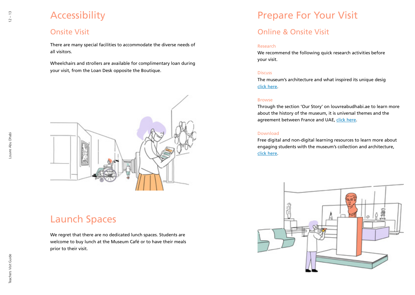# Accessibility

### Onsite Visit

There are many special facilities to accommodate the diverse needs of all visitors.

Wheelchairs and strollers are available for complimentary loan during your visit, from the Loan Desk opposite the Boutique.



# Launch Spaces

We regret that there are no dedicated lunch spaces. Students are welcome to buy lunch at the Museum Café or to have their meals prior to their visit.

# Prepare For Your Visit

## Online & Onsite Visit

#### Research

We recommend the following quick research activities before your visit.

#### **Discuss**

The museum's architecture and what inspired its unique desig click here.

#### Browse

Through the section 'Our Story' on louvreabudhabi.ae to learn more about the history of the museum, it is universal themes and the agreement between France and UAE, click here.

#### Download

Free digital and non-digital learning resources to learn more about engaging students with the museum's collection and architecture, click here.

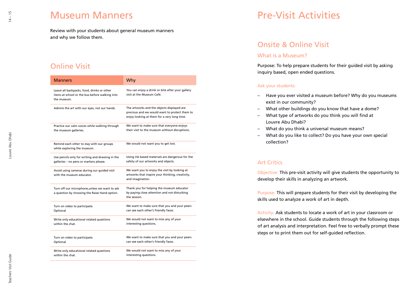## Museum Manners

Review with your students about general museum manners and why we follow them.

### Online Visit

| <b>Manners</b>                                                                                              | Why                                                                                                                                        |
|-------------------------------------------------------------------------------------------------------------|--------------------------------------------------------------------------------------------------------------------------------------------|
| Leave all backpacks, food, drinks or other<br>items at school or the bus before walking into<br>the museum. | You can enjoy a drink or bite after your gallery<br>visit at the Museum Café.                                                              |
| Admire the art with our eyes, not our hands.                                                                | The artworks and the objects displayed are<br>precious and we would want to protect them to<br>enjoy looking at them for a very long time. |
| Practice our calm voices while walking through                                                              | We want to make sure that everyone enjoys                                                                                                  |
| the museum galleries.                                                                                       | their visit to the museum without disruptions.                                                                                             |
| Remind each other to stay with our groups<br>while exploring the museum.                                    | We would not want you to get lost.                                                                                                         |
| Use pencils only for writing and drawing in the                                                             | Using ink-based materials are dangerous for the                                                                                            |
| galleries - no pens or markers please.                                                                      | safety of our artworks and objects.                                                                                                        |
| Avoid using cameras during our guided visit<br>with the museum educator.                                    | We want you to enjoy the visit by looking at<br>artworks that inspire your thinking, creativity,<br>and imagination.                       |
| Turn off our microphone, unless we want to ask<br>a question by choosing the Raise Hand option.             | Thank you for helping the museum educator<br>by paying close attention and not disturbing<br>the session.                                  |
| Turn on video to participate.                                                                               | We want to make sure that you and your peers                                                                                               |
| Optional                                                                                                    | can see each other's friendly faces.                                                                                                       |
| Write only educational related questions                                                                    | We would not want to miss any of your                                                                                                      |
| within the chat.                                                                                            | interesting questions.                                                                                                                     |
| Turn on video to participate.                                                                               | We want to make sure that you and your peers                                                                                               |
| Optional                                                                                                    | can see each other's friendly faces.                                                                                                       |
| Write only educational related questions                                                                    | We would not want to miss any of your                                                                                                      |
| within the chat.                                                                                            | interesting questions.                                                                                                                     |

# Pre-Visit Activities

### Onsite & Online Visit

#### What is a Museum?

Purpose: To help prepare students for their guided visit by asking inquiry based, open ended questions.

#### Ask your students:

- Have you ever visited a museum before? Why do you museums exist in our community?
- What other buildings do you know that have a dome?
- What type of artworks do you think you will find at Louvre Abu Dhabi?
- What do you think a universal museum means?
- What do you like to collect? Do you have your own special collection?

### Art Critics

Objective: This pre-visit activity will give students the opportunity to develop their skills in analyzing an artwork.

Purpose: This will prepare students for their visit by developing the skills used to analyze a work of art in depth.

Activity: Ask students to locate a work of art in your classroom or elsewhere in the school. Guide students through the following steps of art analysis and interpretation. Feel free to verbally prompt these steps or to print them out for self-guided reflection.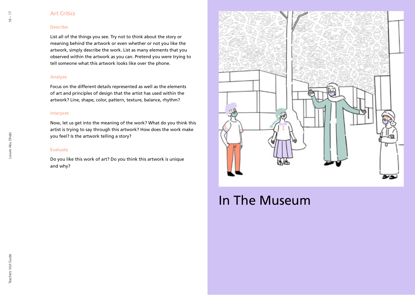#### Art Critics

#### Describe

List all of the things you see. Try not to think about the story or meaning behind the artwork or even whether or not you like the artwork, simply describe the work. List as many elements that you observed within the artwork as you can. Pretend you were trying to tell someone what this artwork looks like over the phone.

#### Analyze

Focus on the different details represented as well as the elements of art and principles of design that the artist has used within the artwork? Line, shape, color, pattern, texture, balance, rhythm?

#### Interpret

Now, let us get into the meaning of the work? What do you think this artist is trying to say through this artwork? How does the work make you feel? Is the artwork telling a story?

#### Evaluate

Do you like this work of art? Do you think this artwork is unique and why?



# In The Museum

Louvre Abu Dhabi

Louvre Abu Dhabi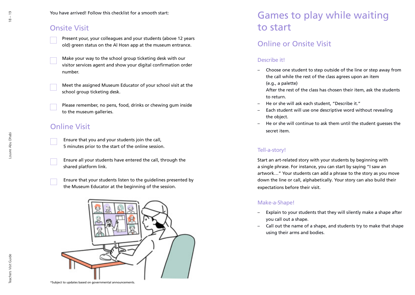### Onsite Visit

- Present your, your colleagues and your students (above 12 years old) green status on the Al Hosn app at the museum entrance.
- Make your way to the school group ticketing desk with our visitor services agent and show your digital confirmation order number.
- Meet the assigned Museum Educator of your school visit at the school group ticketing desk.
- Please remember, no pens, food, drinks or chewing gum inside to the museum galleries.

### Online Visit

- Ensure that you and your students join the call, 5 minutes prior to the start of the online session.
- Ensure all your students have entered the call, through the shared platform link.

Ensure that your students listen to the guidelines presented by the Museum Educator at the beginning of the session.



\*Subject to updates based on governmental announcements.

# Games to play while waiting to start

### Online or Onsite Visit

### Describe it!

- Choose one student to step outside of the line or step away from the call while the rest of the class agrees upon an item (e.g., a palette)
	- After the rest of the class has chosen their item, ask the students to return.
- He or she will ask each student, "Describe it."
- Each student will use one descriptive word without revealing the object.
- He or she will continue to ask them until the student guesses the secret item.

### Tell-a-story!

Start an art-related story with your students by beginning with a single phrase. For instance, you can start by saying "I saw an artwork…" Your students can add a phrase to the story as you move down the line or call, alphabetically. Your story can also build their expectations before their visit.

### Make-a-Shape!

- Explain to your students that they will silently make a shape after you call out a shape.
- Call out the name of a shape, and students try to make that shape using their arms and bodies.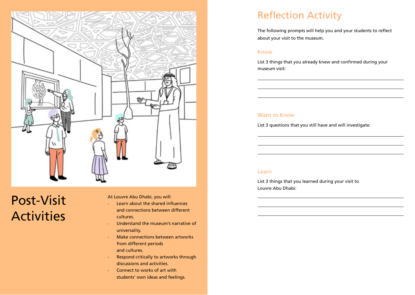

# Post-Visit Activities

At Louvre Abu Dhabi, you will:

- Learn about the shared influences and connections between different cultures.
- Understand the museum's narrative of universality.
- Make connections between artworks from different periods and cultures.
- Respond critically to artworks through discussions and activities.
- Connect to works of art with students' own ideas and feelings.

# Reflection Activity

The following prompts will help you and your students to reflect about your visit to the museum.

#### Know

List 3 things that you already knew and confirmed during your museum visit:

### Want to Know

List 3 questions that you still have and will investigate:

#### Learn

List 3 things that you learned during your visit to Louvre Abu Dhabi: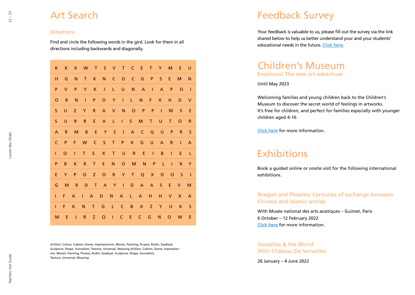# Art Search

#### **Directions**

Find and circle the following words in the gird. Look for them in all directions including backwards and diagonally.

| K.           | $\mathsf{X}$ |              |     |     |       |       | X W T S V T C E T Y M E U   |                                              |    |      |       |              |
|--------------|--------------|--------------|-----|-----|-------|-------|-----------------------------|----------------------------------------------|----|------|-------|--------------|
| н.           | G            | N.           |     |     |       |       | T K N C O C G P S E         |                                              |    |      | M -   | <b>N</b>     |
| P            | V            | P            |     | Y K |       |       | J L U N A I A P O           |                                              |    |      |       | - 1          |
| O            | - R          | N            |     |     |       |       | IPOYILNFXHDV                |                                              |    |      |       |              |
| S.           | U            | Z.           | Y   | R   |       |       | A V N O P P I W             |                                              |    |      | S.    | -E           |
| S.           | U            | R            | R   |     |       |       | E A L I S M T U             |                                              |    |      | $T$ O | R            |
| $\mathsf{A}$ | R.           | M            |     |     | BEYS  |       | J A C Q U P                 |                                              |    |      | R.    | S            |
| C            |              |              |     |     |       |       | PFW CSTPK GUARJA            |                                              |    |      |       |              |
| L            | $\Omega$     | $\mathbf{1}$ | T.  | E.  | $X -$ | $T$ U | $R$ E                       | $\blacksquare$ $\blacksquare$ $\blacksquare$ |    | - 12 | - E   | - 1.         |
| P.           | B.           | K.           | R   |     | T E   |       | NOMNPLI                     |                                              |    |      |       | $X$ F        |
| E            | Y            |              | PO. |     |       |       | ZORYTQX                     |                                              | D. |      | $O_S$ | $\mathbf{I}$ |
| G            |              |              |     |     |       |       | M R D T A Y I D A A S E V   |                                              |    |      |       | м            |
| L.           |              |              |     |     |       |       | F A I A D N A L A H H V X A |                                              |    |      |       |              |
| T.           | F K          |              | - N |     |       |       | TGLCBXZYUK                  |                                              |    |      |       | S            |
| M            | - E          |              |     |     |       |       | JRZOICECGN                  |                                              |    |      | $O$ W | — E          |

Artifact, Colour, Cubism, Dome, Impressionism, Monet, Painting, Picasso, Rodin, Saadiyat, Sculpture, Shape, Surrealism, Texture, Universal, Weaving Artifact, Cubism, Dome, Impressionism, Monet, Painting, Picasso, Rodin, Saadiyat, Sculpture, Shape, Surrealism, Texture, Universal, Weaving

# Feedback Survey

Your feedback is valuable to us, please fill out the survey via the link shared below to help us better understand your and your students' educational needs in the future. Click here.

### Children's Museum Emotions! The new art adventure

Until May 2023

Welcoming families and young children back to the Children's Museum to discover the secret world of feelings in artworks. It's free for children, and perfect for families especially with younger children aged 4-10.

Click here for more information.

# Exhibitions

Book a guided online or onsite visit for the following international exhibitions.

Dragon and Phoenix: Centuries of exchange between Chinese and Islamic worlds

With Musée national des arts asiatiques – Guimet, Paris 6 October – 12 February 2022 Click here for more information.

#### Versailles & the World With Château De Versailles

26 January – 4 June 2022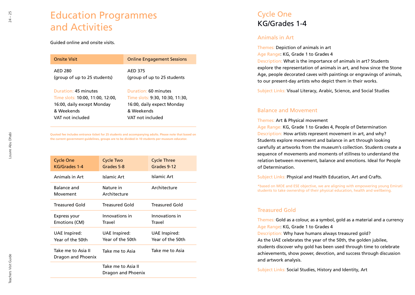# Education Programmes and Activities

Guided online and onsite visits.

| <b>Onsite Visit</b>              | <b>Online Engagement Sessions</b> |
|----------------------------------|-----------------------------------|
| AED 280                          | <b>AED 375</b>                    |
| (group of up to 25 students)     | (group of up to 25 students)      |
| Duration: 45 minutes             | Duration: 60 minutes              |
| Time slots: 10:00, 11:00, 12:00, | Time slots: 9:30, 10:30, 11:30,   |
| 16:00, daily except Monday       | 16:00, daily expect Monday        |
| & Weekends                       | & Weekends                        |
| VAT not included                 | VAT not included                  |

**Quoted fee includes entrance ticket for 25 students and accompanying adults. Please note that based on the current government guidelines, groups are to be divided in 10 students per museum educator.**

| <b>Cycle One</b><br>KG/Grades 1-4        | Cycle Two<br>Grades 5-8           | <b>Cycle Three</b><br>Grades 9-12 |
|------------------------------------------|-----------------------------------|-----------------------------------|
| Animals in Art                           | Islamic Art                       | Islamic Art                       |
| Balance and<br>Movement                  | Nature in<br>Architecture         | Architecture                      |
| Treasured Gold                           | Treasured Gold                    | Treasured Gold                    |
| Express your<br>Emotions (CM)            | Innovations in<br>Travel          | Innovations in<br>Travel          |
| UAE Inspired:<br>Year of the 50th        | UAE Inspired:<br>Year of the 50th | UAE Inspired:<br>Year of the 50th |
| Take me to Asia II<br>Dragon and Phoenix | Take me to Asia                   | Take me to Asia                   |
|                                          | Take me to Asia II                |                                   |

Dragon and Phoenix

## Cycle One KG/Grades 1-4

#### Animals in Art

Themes: Depiction of animals in art Age Range: KG, Grade 1 to Grades 4 Description: What is the importance of animals in art? Students explore the representation of animals in art, and how since the Stone Age, people decorated caves with paintings or engravings of animals, to our present-day artists who depict them in their works.

Subject Links: Visual Literacy, Arabic, Science, and Social Studies

#### Balance and Movement

Themes: Art & Physical movement

Age Range: KG, Grade 1 to Grades 4, People of Determination Description: How artists represent movement in art, and why? Students explore movement and balance in art through looking carefully at artworks from the museum's collection. Students create a sequence of movements and moments of stillness to understand the relation between movement, balance and emotions. Ideal for People of Determination.

Subject Links: Physical and Health Education, Art and Crafts.

\*based on MOE and ESE objective, we are aligning with empowering young Emirati students to take ownership of their physical education, health and wellbeing.

### Treasured Gold

Themes: Gold as a colour, as a symbol, gold as a material and a currency Age Range: KG, Grade 1 to Grades 4 Description: Why have humans always treasured gold? As the UAE celebrates the year of the 50th, the golden jubilee, students discover why gold has been used through time to celebrate achievements, show power, devotion, and success through discussion and artwork analysis.

Subject Links: Social Studies, History and Identity, Art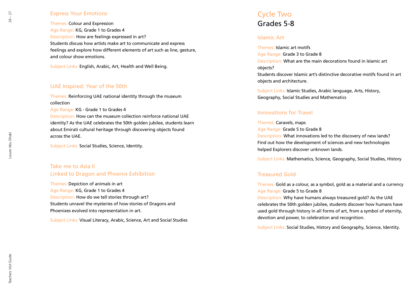#### Express Your Emotions

Themes: Colour and Expression Age Range: KG, Grade 1 to Grades 4 Description: How are feelings expressed in art? Students discuss how artists make art to communicate and express feelings and explore how different elements of art such as line, gesture, and colour show emotions.

Subject Links: English, Arabic, Art, Health and Well Being.

#### UAE Inspired: Year of the 50th

Themes: Reinforcing UAE national identity through the museum collection

Age Range: KG - Grade 1 to Grades 4

Description: How can the museum collection reinforce national UAE identity? As the UAE celebrates the 50th golden jubilee, students learn about Emirati cultural heritage through discovering objects found across the UAE.

Subject Links: Social Studies, Science, Identity.

Take me to Asia II Linked to Dragon and Phoenix Exhibition

Themes: Depiction of animals in art Age Range: KG, Grade 1 to Grades 4 Description: How do we tell stories through art? Students unravel the mysteries of how stories of Dragons and Phoenixes evolved into representation in art.

Subject Links: Visual Literacy, Arabic, Science, Art and Social Studies

### Cycle Two Grades 5-8

#### Islamic Art

Themes: Islamic art motifs Age Range: Grade 3 to Grade 8 Description: What are the main decorations found in Islamic art objects? Students discover Islamic art's distinctive decorative motifs found in art objects and architecture.

Subject Links: Islamic Studies, Arabic language, Arts, History, Geography, Social Studies and Mathematics

#### Innovations for Travel

Themes: Caravels, maps Age Range: Grade 5 to Grade 8 Description: What innovations led to the discovery of new lands? Find out how the development of sciences and new technologies helped Explorers discover unknown lands.

Subject Links: Mathematics, Science, Geography, Social Studies, History

#### Treasured Gold

Themes: Gold as a colour, as a symbol, gold as a material and a currency Age Range: Grade 5 to Grade 8

Description: Why have humans always treasured gold? As the UAE celebrates the 50th golden jubilee, students discover how humans have used gold through history in all forms of art, from a symbol of eternity, devotion and power, to celebration and recognition.

Subject Links: Social Studies, History and Geography, Science, Identity.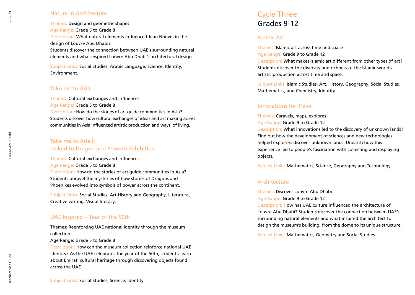#### Nature in Architecture

Themes: Design and geometric shapes Age Range: Grade 5 to Grade 8 Description: What natural elements influenced Jean Nouvel in the design of Louvre Abu Dhabi? Students discover the connection between UAE's surrounding natural elements and what inspired Louvre Abu Dhabi's architectural design.

Subject Links: Social Studies, Arabic Language, Science, Identity, Environment.

#### Take me to Asia

Themes: Cultural exchanges and influences Age Range: Grade 5 to Grade 8 Description: How do the stories of art guide communities in Asia? Students discover how cultural exchanges of ideas and art making across communities in Asia influenced artistic production and ways of living.

### Take me to Asia II Linked to Dragon and Phoenix Exhibition

Themes: Cultural exchanges and influences Age Range: Grade 5 to Grade 8 Description: How do the stories of art guide communities in Asia? Students unravel the mysteries of how stories of Dragons and Phoenixes evolved into symbols of power across the continent.

Subject Links: Social Studies, Art History and Geography, Literature, Creative writing, Visual literacy.

#### UAE Inspired – Year of the 50th

Themes: Reenforcing UAE national identity through the museum collection

Age Range: Grade 5 to Grade 8

Description: How can the museum collection reinforce national UAE identity? As the UAE celebrates the year of the 50th, student's learn about Emirati cultural heritage through discovering objects found across the UAE.

### Cycle Three Grades 9-12

#### Islamic Art

Themes: Islamic art across time and space Age Range: Grade 9 to Grade 12 Description: What makes Islamic art different from other types of art? Students discover the diversity and richness of the Islamic world's artistic production across time and space.

Subject Links: Islamic Studies, Art, History, Geography, Social Studies, Mathematics, and Chemistry, Identity.

#### Innovations for Travel

Themes: Caravels, maps, explores Age Range: Grade 9 to Grade 12

Description: What innovations led to the discovery of unknown lands? Find out how the development of sciences and new technologies helped explorers discover unknown lands. Unearth how this experience led to people's fascination with collecting and displaying objects.

Subject Links: Mathematics, Science, Geography and Technology

#### **Architecture**

Themes: Discover Louvre Abu Dhabi Age Range: Grade 9 to Grade 12

Description: How has UAE culture influenced the architecture of Louvre Abu Dhabi? Students discover the connection between UAE's surrounding natural elements and what inspired the architect to design the museum's building, from the dome to its unique structure.

Subject Links: Mathematics, Geometry and Social Studies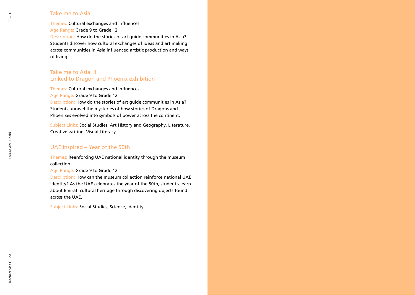#### Take me to Asia

Themes: Cultural exchanges and influences Age Range: Grade 9 to Grade 12 Description: How do the stories of art guide communities in Asia? Students discover how cultural exchanges of ideas and art making across communities in Asia influenced artistic production and ways of living.

### Take me to Asia II Linked to Dragon and Phoenix exhibition

Themes: Cultural exchanges and influences Age Range: Grade 9 to Grade 12 Description: How do the stories of art guide communities in Asia? Students unravel the mysteries of how stories of Dragons and Phoenixes evolved into symbols of power across the continent.

Subject Links: Social Studies, Art History and Geography, Literature, Creative writing, Visual Literacy.

#### UAE Inspired – Year of the 50th

Themes: Reenforcing UAE national identity through the museum collection

Age Range: Grade 9 to Grade 12

Description: How can the museum collection reinforce national UAE identity? As the UAE celebrates the year of the 50th, student's learn about Emirati cultural heritage through discovering objects found across the UAE.

Subject Links: Social Studies, Science, Identity.